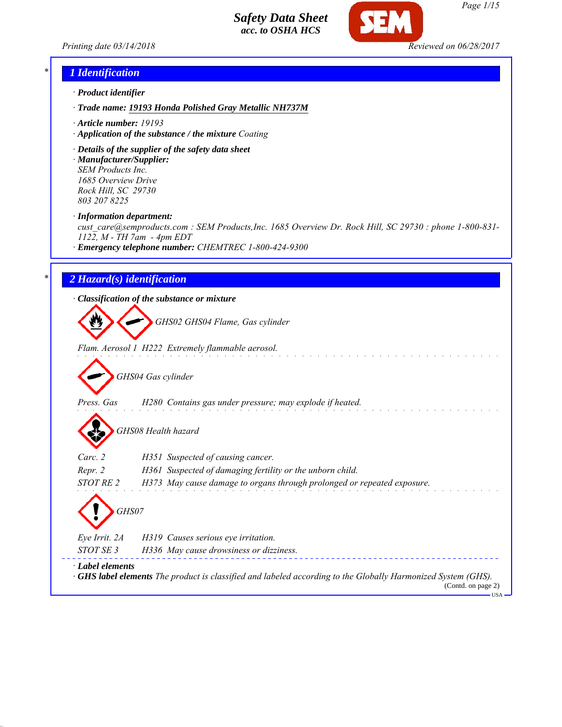



#### *\* 1 Identification*

- *· Product identifier*
- *· Trade name: 19193 Honda Polished Gray Metallic NH737M*
- *· Article number: 19193*
- *· Application of the substance / the mixture Coating*
- *· Details of the supplier of the safety data sheet · Manufacturer/Supplier: SEM Products Inc.*

*1685 Overview Drive Rock Hill, SC 29730 803 207 8225*

*· Information department:*

*cust\_care@semproducts.com : SEM Products,Inc. 1685 Overview Dr. Rock Hill, SC 29730 : phone 1-800-831- 1122, M - TH 7am - 4pm EDT*

*· Emergency telephone number: CHEMTREC 1-800-424-9300*

### *\* 2 Hazard(s) identification*

*· Classification of the substance or mixture*

*GHS02 GHS04 Flame, Gas cylinder*

*Flam. Aerosol 1 H222 Extremely flammable aerosol.*

*GHS04 Gas cylinder*

*Press. Gas H280 Contains gas under pressure; may explode if heated.*

*GHS08 Health hazard*

| Carc. 2       | H351 Suspected of causing cancer.                                       |
|---------------|-------------------------------------------------------------------------|
| Repr. 2       | H361 Suspected of damaging fertility or the unborn child.               |
| STOT RE 2     | H373 May cause damage to organs through prolonged or repeated exposure. |
| GHS07         |                                                                         |
| Eye Irrit. 2A | H319 Causes serious eye irritation.                                     |
|               |                                                                         |

*STOT SE 3 H336 May cause drowsiness or dizziness. · Label elements · GHS label elements The product is classified and labeled according to the Globally Harmonized System (GHS).* (Contd. on page 2)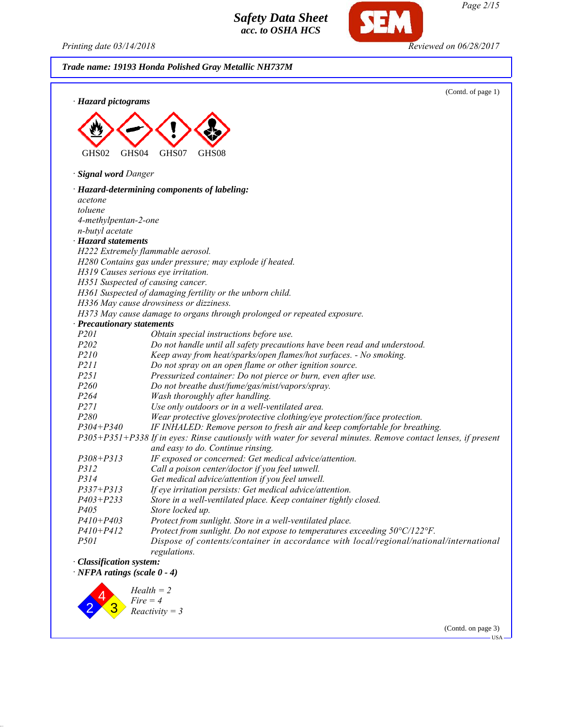*Printing date 03/14/2018 Reviewed on 06/28/2017*

**SEM** 

| · Hazard pictograms                | (Contd. of page 1)                                                                                            |
|------------------------------------|---------------------------------------------------------------------------------------------------------------|
|                                    |                                                                                                               |
|                                    |                                                                                                               |
|                                    |                                                                                                               |
|                                    |                                                                                                               |
| GHS02<br>GHS <sub>04</sub>         | GHS07<br>GHS08                                                                                                |
| · Signal word Danger               |                                                                                                               |
|                                    | · Hazard-determining components of labeling:                                                                  |
| acetone                            |                                                                                                               |
| toluene                            |                                                                                                               |
| 4-methylpentan-2-one               |                                                                                                               |
| n-butyl acetate                    |                                                                                                               |
| · Hazard statements                |                                                                                                               |
|                                    | H222 Extremely flammable aerosol.                                                                             |
|                                    | H280 Contains gas under pressure; may explode if heated.                                                      |
|                                    | H319 Causes serious eye irritation.                                                                           |
|                                    | H351 Suspected of causing cancer.                                                                             |
|                                    | H361 Suspected of damaging fertility or the unborn child.<br>H336 May cause drowsiness or dizziness.          |
|                                    | H373 May cause damage to organs through prolonged or repeated exposure.                                       |
| · Precautionary statements         |                                                                                                               |
| <i>P201</i>                        | Obtain special instructions before use.                                                                       |
| P202                               | Do not handle until all safety precautions have been read and understood.                                     |
| P210                               | Keep away from heat/sparks/open flames/hot surfaces. - No smoking.                                            |
| <i>P211</i>                        | Do not spray on an open flame or other ignition source.                                                       |
| P251                               | Pressurized container: Do not pierce or burn, even after use.                                                 |
| P <sub>260</sub>                   | Do not breathe dust/fume/gas/mist/vapors/spray.                                                               |
| P <sub>264</sub>                   | Wash thoroughly after handling.                                                                               |
| <i>P271</i>                        | Use only outdoors or in a well-ventilated area.                                                               |
| P280                               | Wear protective gloves/protective clothing/eye protection/face protection.                                    |
| $P304 + P340$                      | IF INHALED: Remove person to fresh air and keep comfortable for breathing.                                    |
|                                    | P305+P351+P338 If in eyes: Rinse cautiously with water for several minutes. Remove contact lenses, if present |
|                                    | and easy to do. Continue rinsing.                                                                             |
| $P308 + P313$                      | IF exposed or concerned: Get medical advice/attention.                                                        |
| P312                               | Call a poison center/doctor if you feel unwell.                                                               |
| P314                               | Get medical advice/attention if you feel unwell.                                                              |
| $P337 + P313$                      | If eye irritation persists: Get medical advice/attention.                                                     |
| $P403 + P233$                      | Store in a well-ventilated place. Keep container tightly closed.                                              |
| P <sub>405</sub>                   | Store locked up.                                                                                              |
| $P410 + P403$                      | Protect from sunlight. Store in a well-ventilated place.                                                      |
| $P410 + P412$                      | Protect from sunlight. Do not expose to temperatures exceeding 50°C/122°F.                                    |
| <i>P501</i>                        | Dispose of contents/container in accordance with local/regional/national/international<br>regulations.        |
| · Classification system:           |                                                                                                               |
| $\cdot$ NFPA ratings (scale 0 - 4) |                                                                                                               |
|                                    | $Health = 2$                                                                                                  |

(Contd. on page 3)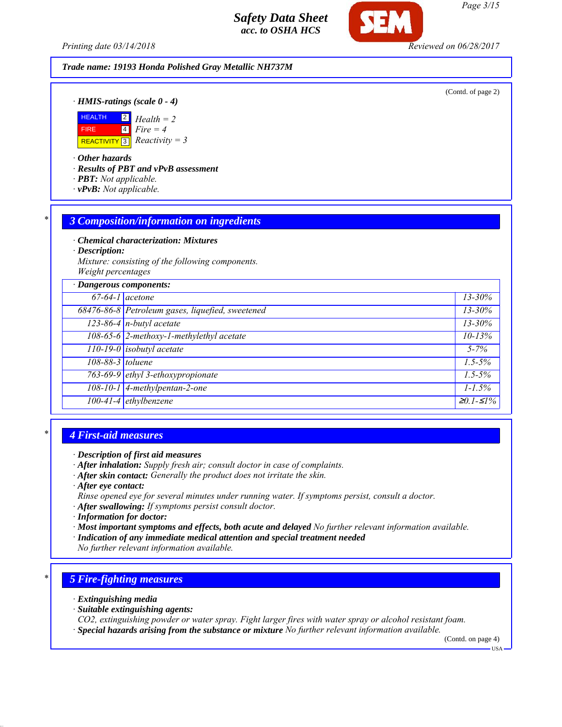*Printing date 03/14/2018 Reviewed on 06/28/2017*

#### *Trade name: 19193 Honda Polished Gray Metallic NH737M*

(Contd. of page 2)

*· HMIS-ratings (scale 0 - 4)*



*· Other hazards*

*· Results of PBT and vPvB assessment*

- *· PBT: Not applicable.*
- *· vPvB: Not applicable.*

#### *\* 3 Composition/information on ingredients*

*· Chemical characterization: Mixtures*

*· Description:*

*Mixture: consisting of the following components. Weight percentages*

| · Dangerous components: |                                                  |                                 |
|-------------------------|--------------------------------------------------|---------------------------------|
| $67-64-1$ acetone       |                                                  | $13 - 30\%$                     |
|                         | 68476-86-8 Petroleum gases, liquefied, sweetened | $13 - 30\%$                     |
|                         | $123-86-4$ n-butyl acetate                       | $13 - 30\%$                     |
|                         | 108-65-6 2-methoxy-1-methylethyl acetate         | $10 - 13%$                      |
|                         | $110-19-0$ isobutyl acetate                      | $5 - 7\%$                       |
| 108-88-3 toluene        |                                                  | $1.5 - 5\%$                     |
|                         | 763-69-9 ethyl 3-ethoxypropionate                | $1.5 - 5\%$                     |
|                         | $108-10-1$ 4-methylpentan-2-one                  | $1 - 1.5\%$                     |
|                         | 100-41-4 ethylbenzene                            | $\overline{\geq}0.1 - \leq 1\%$ |

### *\* 4 First-aid measures*

- *· After inhalation: Supply fresh air; consult doctor in case of complaints.*
- *· After skin contact: Generally the product does not irritate the skin.*
- *· After eye contact:*
- *Rinse opened eye for several minutes under running water. If symptoms persist, consult a doctor.*
- *· After swallowing: If symptoms persist consult doctor.*
- *· Information for doctor:*
- *· Most important symptoms and effects, both acute and delayed No further relevant information available.*
- *· Indication of any immediate medical attention and special treatment needed*
- *No further relevant information available.*

### *\* 5 Fire-fighting measures*

- *· Extinguishing media*
- *· Suitable extinguishing agents:*
- *CO2, extinguishing powder or water spray. Fight larger fires with water spray or alcohol resistant foam.*
- *· Special hazards arising from the substance or mixture No further relevant information available.*

(Contd. on page 4)

USA

*Page 3/15*

*<sup>·</sup> Description of first aid measures*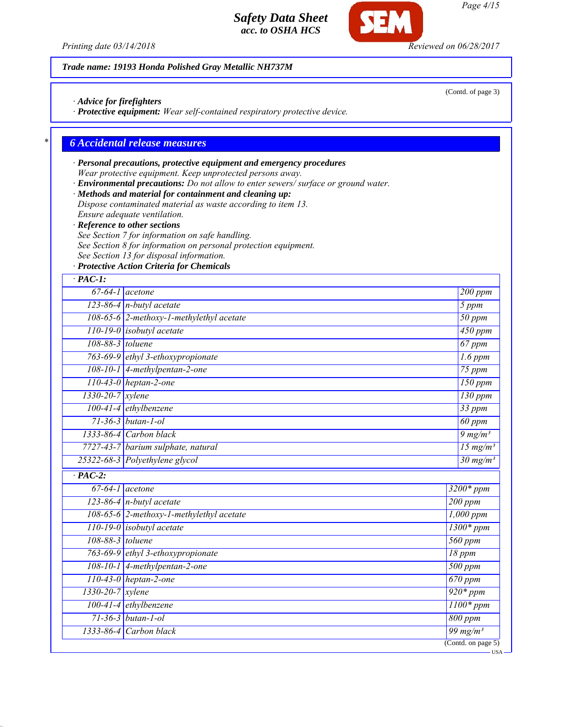*Printing date 03/14/2018 Reviewed on 06/28/2017*

#### *Trade name: 19193 Honda Polished Gray Metallic NH737M*

*· Advice for firefighters*

*· Protective equipment: Wear self-contained respiratory protective device.*

## *\* 6 Accidental release measures*

## *· Personal precautions, protective equipment and emergency procedures Wear protective equipment. Keep unprotected persons away.*

*· Environmental precautions: Do not allow to enter sewers/ surface or ground water.*

*· Methods and material for containment and cleaning up:*

*Dispose contaminated material as waste according to item 13. Ensure adequate ventilation.*

*· Reference to other sections*

*See Section 7 for information on safe handling.*

*See Section 8 for information on personal protection equipment.*

*See Section 13 for disposal information.*

*· Protective Action Criteria for Chemicals*

| $·$ PAC-1:       |                                          |                                        |
|------------------|------------------------------------------|----------------------------------------|
|                  | $67-64-1$ acetone                        | 200 ppm                                |
|                  | 123-86-4 n-butyl acetate                 | 5 ppm                                  |
|                  | 108-65-6 2-methoxy-1-methylethyl acetate | $50$ ppm                               |
|                  | 110-19-0 isobutyl acetate                | 450 ppm                                |
| 108-88-3 toluene |                                          | $67$ ppm                               |
|                  | 763-69-9 ethyl 3-ethoxypropionate        | $1.6$ ppm                              |
|                  | 108-10-1 4-methylpentan-2-one            | $\overline{75\ ppm}$                   |
|                  | $110-43-0$ heptan-2-one                  | $150$ ppm                              |
| 1330-20-7 xylene |                                          | $130$ ppm                              |
|                  | 100-41-4 ethylbenzene                    | $33$ ppm                               |
|                  | $71 - 36 - 3$ butan-1-ol                 | 60 ppm                                 |
|                  | 1333-86-4 Carbon black                   | $9 \frac{mg}{m^3}$                     |
|                  | 7727-43-7 barium sulphate, natural       | $\frac{15 \text{ mg}}{m^3}$            |
|                  | 25322-68-3 Polyethylene glycol           | $30 \text{ mg/m}^3$                    |
| $\cdot$ PAC-2:   |                                          |                                        |
|                  | $\overline{67-64-1}$ acetone             | $3200*ppm$                             |
|                  | $123-86-4$ n-butyl acetate               | $200$ ppm                              |
|                  | 108-65-6 2-methoxy-1-methylethyl acetate | $1,000$ ppm                            |
|                  | $110-19-0$ isobutyl acetate              | $1300*ppm$                             |
| 108-88-3 toluene |                                          | 560 ppm                                |
|                  | 763-69-9 ethyl 3-ethoxypropionate        | $18$ ppm                               |
|                  | $108-10-1$ 4-methylpentan-2-one          | $500$ ppm                              |
|                  | $110-43-0$ heptan-2-one                  | $\overline{670}$ ppm                   |
| 1330-20-7 xylene |                                          | $920*ppm$                              |
|                  | $100-41-4$ ethylbenzene                  | $1100*ppm$                             |
|                  | $71 - 36 - 3$ butan-1-ol                 | $800$ ppm                              |
|                  | $1333-86-4$ Carbon black                 | $\frac{99 \text{ mg}}{m^3}$            |
|                  |                                          | $\overline{\text{(Contd. on page 5)}}$ |

*Page 4/15*

(Contd. of page 3)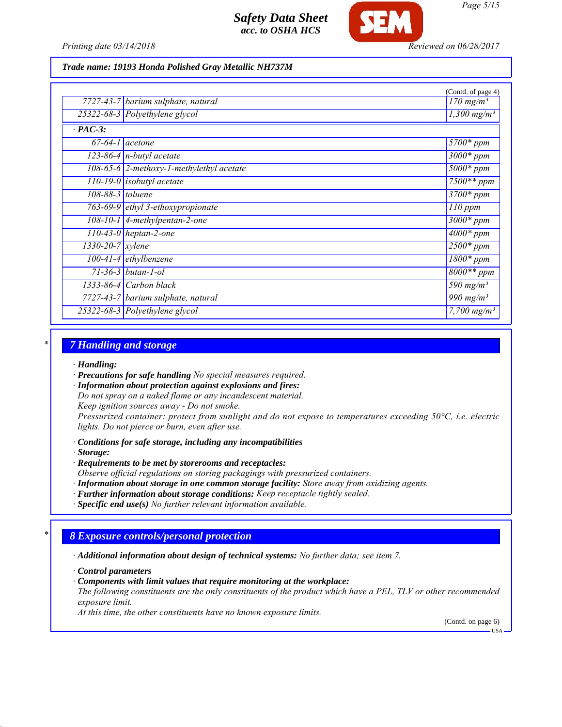

*Trade name: 19193 Honda Polished Gray Metallic NH737M*

|                               |                                            | (Contd. of page 4)           |
|-------------------------------|--------------------------------------------|------------------------------|
|                               | 7727-43-7 barium sulphate, natural         | $170$ mg/m <sup>3</sup>      |
|                               | 25322-68-3 Polyethylene glycol             | $1,300$ mg/m <sup>3</sup>    |
| $\cdot$ PAC-3:                |                                            |                              |
| $67-64-1$ acetone             |                                            | 5700* ppm                    |
|                               | $\overline{123-86-4}$ n-butyl acetate      | $3000*$ ppm                  |
|                               | $108-65-6$ 2-methoxy-1-methylethyl acetate | $5000*$ ppm                  |
|                               | $\overline{110}$ -19-0 isobutyl acetate    | $7500**$ ppm                 |
| $108-88-3$ toluene            |                                            | $3700*$ ppm                  |
|                               | 763-69-9 ethyl 3-ethoxypropionate          | $110$ ppm                    |
|                               | $108-10-1$ 4-methylpentan-2-one            | $3000*$ ppm                  |
|                               | $110-43-0$ heptan-2-one                    | $4000*$ ppm                  |
| $1330 - 20 - 7$ <i>xylene</i> |                                            | $2500*$ ppm                  |
|                               | $100-41-4$ ethylbenzene                    | $1800*$ ppm                  |
|                               | $71 - 36 - 3$ butan-1-ol                   | $8000**$ ppm                 |
|                               | $1333-86-4$ Carbon black                   | $\frac{590 \text{ mg}}{m^3}$ |
|                               | 7727-43-7 barium sulphate, natural         | $\frac{990 \text{ mg}}{m}$   |
|                               | 25322-68-3 Polyethylene glycol             | 7,700 $mg/m^3$               |

#### *\* 7 Handling and storage*

*· Handling:*

*· Precautions for safe handling No special measures required.*

*· Information about protection against explosions and fires:*

*Do not spray on a naked flame or any incandescent material.*

*Keep ignition sources away - Do not smoke.*

*Pressurized container: protect from sunlight and do not expose to temperatures exceeding 50°C, i.e. electric lights. Do not pierce or burn, even after use.*

*· Conditions for safe storage, including any incompatibilities*

*· Storage:*

*· Requirements to be met by storerooms and receptacles:*

*Observe official regulations on storing packagings with pressurized containers.*

- *· Information about storage in one common storage facility: Store away from oxidizing agents.*
- *· Further information about storage conditions: Keep receptacle tightly sealed.*

*· Specific end use(s) No further relevant information available.*

#### *\* 8 Exposure controls/personal protection*

*· Additional information about design of technical systems: No further data; see item 7.*

*· Control parameters*

*· Components with limit values that require monitoring at the workplace:*

*The following constituents are the only constituents of the product which have a PEL, TLV or other recommended exposure limit.*

*At this time, the other constituents have no known exposure limits.*

(Contd. on page 6)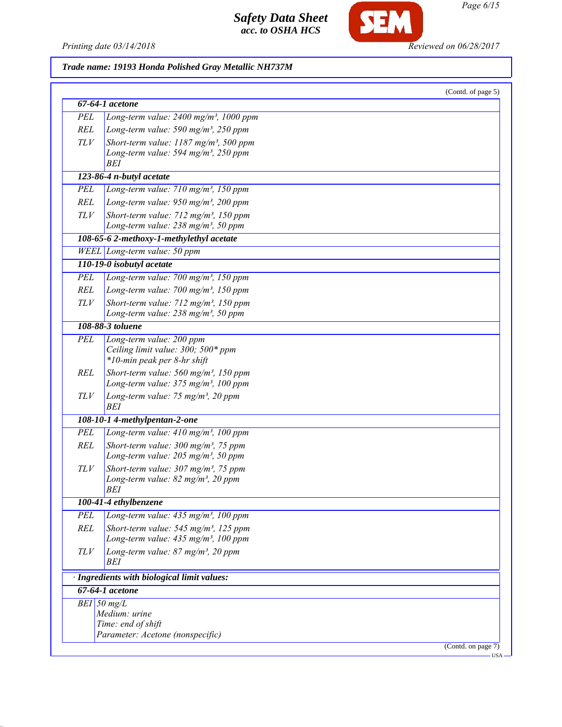

*Page 6/15*

Printing date 03/14/2018 **Reviewed on 06/28/2017** 

| Trade name: 19193 Honda Polished Gray Metallic NH737M |  |  |  |  |  |  |
|-------------------------------------------------------|--|--|--|--|--|--|
|-------------------------------------------------------|--|--|--|--|--|--|

|            | 67-64-1 acetone                                                                                         |  |
|------------|---------------------------------------------------------------------------------------------------------|--|
|            |                                                                                                         |  |
| PEL        | Long-term value: $2400$ mg/m <sup>3</sup> , 1000 ppm                                                    |  |
| REL        | Long-term value: 590 mg/m <sup>3</sup> , 250 ppm                                                        |  |
| TLV        | Short-term value: $1187$ mg/m <sup>3</sup> , 500 ppm                                                    |  |
|            | Long-term value: 594 mg/m <sup>3</sup> , 250 ppm<br><b>BEI</b>                                          |  |
|            | 123-86-4 n-butyl acetate                                                                                |  |
| PEL        | Long-term value: $710$ mg/m <sup>3</sup> , 150 ppm                                                      |  |
| <b>REL</b> | Long-term value: $950$ mg/m <sup>3</sup> , 200 ppm                                                      |  |
|            |                                                                                                         |  |
| TLV        | Short-term value: $712$ mg/m <sup>3</sup> , 150 ppm<br>Long-term value: 238 mg/m <sup>3</sup> , 50 ppm  |  |
|            | 108-65-6 2-methoxy-1-methylethyl acetate                                                                |  |
|            | WEEL Long-term value: 50 ppm                                                                            |  |
|            | 110-19-0 isobutyl acetate                                                                               |  |
| PEL        | Long-term value: $700$ mg/m <sup>3</sup> , 150 ppm                                                      |  |
| REL        | Long-term value: $700$ mg/m <sup>3</sup> , 150 ppm                                                      |  |
| TLV        | Short-term value: 712 mg/m <sup>3</sup> , 150 ppm                                                       |  |
|            | Long-term value: $238$ mg/m <sup>3</sup> , 50 ppm                                                       |  |
|            | 108-88-3 toluene                                                                                        |  |
| PEL        | Long-term value: 200 ppm                                                                                |  |
|            | Ceiling limit value: 300; 500* ppm                                                                      |  |
|            | *10-min peak per 8-hr shift                                                                             |  |
| REL        | Short-term value: $560$ mg/m <sup>3</sup> , 150 ppm                                                     |  |
|            | Long-term value: 375 mg/m <sup>3</sup> , 100 ppm                                                        |  |
| TLV        | Long-term value: 75 mg/m <sup>3</sup> , 20 ppm<br>BEI                                                   |  |
|            | 108-10-1 4-methylpentan-2-one                                                                           |  |
| <b>PEL</b> | Long-term value: $410$ mg/m <sup>3</sup> , 100 ppm                                                      |  |
| <b>REL</b> | Short-term value: $300$ mg/m <sup>3</sup> , 75 ppm                                                      |  |
|            | Long-term value: $205$ mg/m <sup>3</sup> , 50 ppm                                                       |  |
| TLV        | Short-term value: $307 \text{ mg/m}^3$ , 75 ppm                                                         |  |
|            | Long-term value: $82 \text{ mg/m}^3$ , $20 \text{ ppm}$                                                 |  |
|            | BEI                                                                                                     |  |
|            | 100-41-4 ethylbenzene                                                                                   |  |
| PEL        | Long-term value: 435 mg/m <sup>3</sup> , 100 ppm                                                        |  |
| <b>REL</b> | Short-term value: $545$ mg/m <sup>3</sup> , 125 ppm<br>Long-term value: 435 mg/m <sup>3</sup> , 100 ppm |  |
| TLV        | Long-term value: 87 mg/m <sup>3</sup> , 20 ppm<br>BEI                                                   |  |
|            | · Ingredients with biological limit values:                                                             |  |
|            | 67-64-1 acetone                                                                                         |  |
|            | $BEI$ 50 mg/L                                                                                           |  |
|            | Medium: urine                                                                                           |  |
|            | Time: end of shift                                                                                      |  |
|            | Parameter: Acetone (nonspecific)                                                                        |  |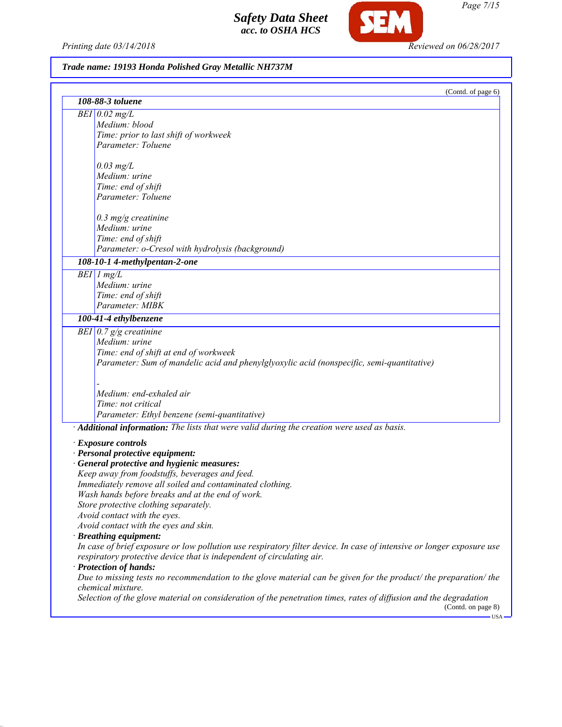*Printing date 03/14/2018 Reviewed on 06/28/2017*

**SEM** 

## *Trade name: 19193 Honda Polished Gray Metallic NH737M*

| (Contd. of page 6)<br>108-88-3 toluene                                                                                                 |
|----------------------------------------------------------------------------------------------------------------------------------------|
|                                                                                                                                        |
| $BEI$ 0.02 mg/L                                                                                                                        |
| Medium: blood                                                                                                                          |
| Time: prior to last shift of workweek                                                                                                  |
| Parameter: Toluene                                                                                                                     |
| $0.03$ mg/L                                                                                                                            |
| Medium: urine                                                                                                                          |
| Time: end of shift                                                                                                                     |
| Parameter: Toluene                                                                                                                     |
| $0.3$ mg/g creatinine                                                                                                                  |
| Medium: urine                                                                                                                          |
| Time: end of shift                                                                                                                     |
| Parameter: o-Cresol with hydrolysis (background)                                                                                       |
| 108-10-1 4-methylpentan-2-one                                                                                                          |
| $BEI$ 1 mg/L                                                                                                                           |
| Medium: urine                                                                                                                          |
| Time: end of shift                                                                                                                     |
| Parameter: MIBK                                                                                                                        |
| 100-41-4 ethylbenzene                                                                                                                  |
| BEI $0.7$ g/g creatinine                                                                                                               |
| Medium: urine                                                                                                                          |
| Time: end of shift at end of workweek                                                                                                  |
| Parameter: Sum of mandelic acid and phenylglyoxylic acid (nonspecific, semi-quantitative)                                              |
|                                                                                                                                        |
| Medium: end-exhaled air                                                                                                                |
| Time: not critical                                                                                                                     |
| Parameter: Ethyl benzene (semi-quantitative)                                                                                           |
| · Additional information: The lists that were valid during the creation were used as basis.                                            |
| <b>Exposure controls</b>                                                                                                               |
| · Personal protective equipment:                                                                                                       |
| · General protective and hygienic measures:                                                                                            |
| Keep away from foodstuffs, beverages and feed.                                                                                         |
| Immediately remove all soiled and contaminated clothing.                                                                               |
| Wash hands before breaks and at the end of work.                                                                                       |
| Store protective clothing separately.                                                                                                  |
| Avoid contact with the eyes.                                                                                                           |
| Avoid contact with the eyes and skin.                                                                                                  |
| · Breathing equipment:                                                                                                                 |
| In case of brief exposure or low pollution use respiratory filter device. In case of intensive or longer exposure use                  |
| respiratory protective device that is independent of circulating air.                                                                  |
| · Protection of hands:                                                                                                                 |
| Due to missing tests no recommendation to the glove material can be given for the product/ the preparation/ the                        |
|                                                                                                                                        |
| chemical mixture.<br>Selection of the glove material on consideration of the penetration times, rates of diffusion and the degradation |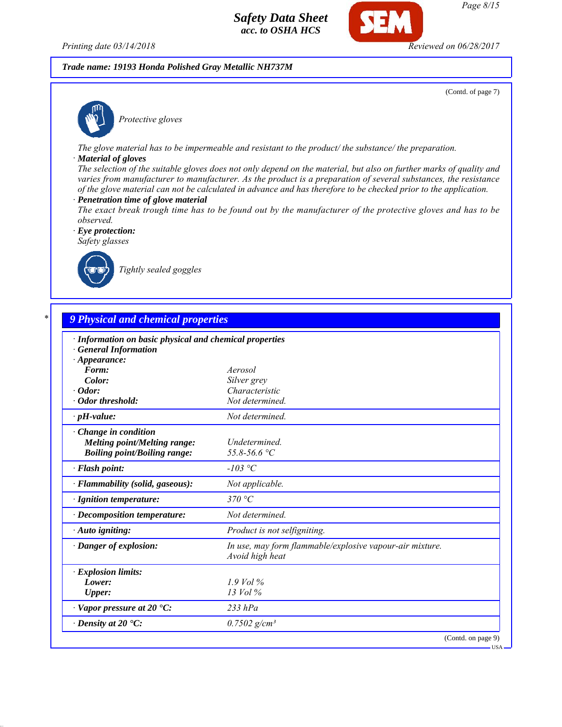*Printing date 03/14/2018 Reviewed on 06/28/2017*

#### *Trade name: 19193 Honda Polished Gray Metallic NH737M*

(Contd. of page 7)



*Protective gloves*

*The glove material has to be impermeable and resistant to the product/ the substance/ the preparation.*

#### *· Material of gloves*

*The selection of the suitable gloves does not only depend on the material, but also on further marks of quality and varies from manufacturer to manufacturer. As the product is a preparation of several substances, the resistance of the glove material can not be calculated in advance and has therefore to be checked prior to the application.*

- *· Penetration time of glove material*
- *The exact break trough time has to be found out by the manufacturer of the protective gloves and has to be observed.*

*· Eye protection: Safety glasses*



*Tightly sealed goggles*

| · Information on basic physical and chemical properties |                                                                             |
|---------------------------------------------------------|-----------------------------------------------------------------------------|
| <b>General Information</b>                              |                                                                             |
| $\cdot$ Appearance:                                     |                                                                             |
| Form:                                                   | Aerosol                                                                     |
| Color:                                                  | Silver grey                                                                 |
| $\cdot$ Odor:                                           | Characteristic                                                              |
| · Odor threshold:                                       | Not determined.                                                             |
| $\cdot$ pH-value:                                       | Not determined.                                                             |
| Change in condition                                     |                                                                             |
| <b>Melting point/Melting range:</b>                     | Undetermined.                                                               |
| <b>Boiling point/Boiling range:</b>                     | 55.8-56.6 °C                                                                |
| · Flash point:                                          | -103 °C                                                                     |
| · Flammability (solid, gaseous):                        | Not applicable.                                                             |
| · Ignition temperature:                                 | 370 °C                                                                      |
| · Decomposition temperature:                            | Not determined.                                                             |
| · Auto igniting:                                        | Product is not selfigniting.                                                |
| · Danger of explosion:                                  | In use, may form flammable/explosive vapour-air mixture.<br>Avoid high heat |
|                                                         |                                                                             |
| · Explosion limits:                                     |                                                                             |
| Lower:                                                  | $1.9$ Vol %                                                                 |
| <b>Upper:</b>                                           | $13$ Vol $\%$                                                               |
| $\cdot$ Vapor pressure at 20 $\cdot$ C:                 | $233$ $hPa$                                                                 |
| $\cdot$ Density at 20 $\textdegree$ C:                  | $0.7502$ g/cm <sup>3</sup>                                                  |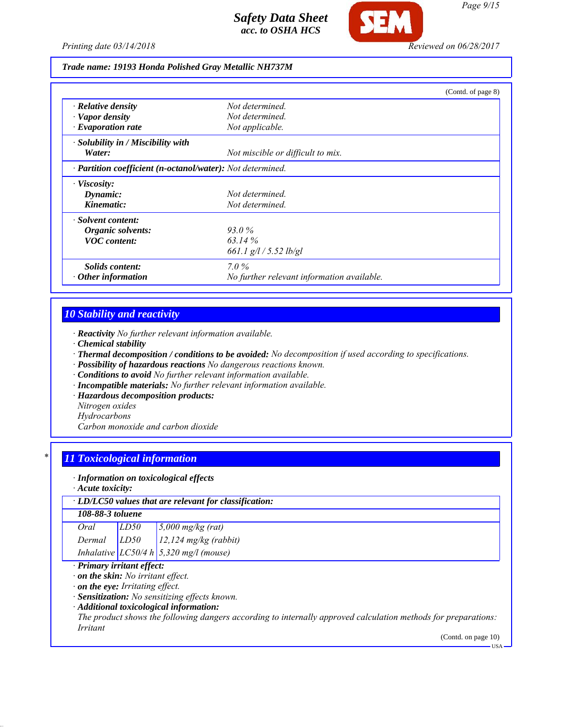

#### *Trade name: 19193 Honda Polished Gray Metallic NH737M*

|                                                            | (Contd. of page 8)                         |  |
|------------------------------------------------------------|--------------------------------------------|--|
| $\cdot$ Relative density                                   | Not determined.                            |  |
| · Vapor density                                            | Not determined                             |  |
| $\cdot$ Evaporation rate                                   | Not applicable.                            |  |
| · Solubility in / Miscibility with                         |                                            |  |
| Water:                                                     | Not miscible or difficult to mix.          |  |
| · Partition coefficient (n-octanol/water): Not determined. |                                            |  |
| $\cdot$ Viscosity:                                         |                                            |  |
| Dynamic:                                                   | Not determined.                            |  |
| Kinematic:                                                 | Not determined.                            |  |
| · Solvent content:                                         |                                            |  |
| Organic solvents:                                          | 93.0%                                      |  |
| <b>VOC</b> content:                                        | 63.14 $\%$                                 |  |
|                                                            | 661.1 g/l / 5.52 lb/gl                     |  |
| <i>Solids content:</i>                                     | $7.0\%$                                    |  |
| Other information                                          | No further relevant information available. |  |

## *10 Stability and reactivity*

- *· Reactivity No further relevant information available.*
- *· Chemical stability*
- *· Thermal decomposition / conditions to be avoided: No decomposition if used according to specifications.*
- *· Possibility of hazardous reactions No dangerous reactions known.*
- *· Conditions to avoid No further relevant information available.*
- *· Incompatible materials: No further relevant information available.*
- *· Hazardous decomposition products:*
- *Nitrogen oxides*
- *Hydrocarbons*

*Carbon monoxide and carbon dioxide*

### *\* 11 Toxicological information*

#### *· Information on toxicological effects*

*· Acute toxicity:*

#### *· LD/LC50 values that are relevant for classification:*

#### *108-88-3 toluene*

| Oral   | LD50 | $5,000$ mg/kg (rat)                        |
|--------|------|--------------------------------------------|
| Dermal | LD50 | $12,124$ mg/kg (rabbit)                    |
|        |      | Inhalative $LC50/4 h   5,320 mg/l$ (mouse) |

## *· Primary irritant effect:*

*· on the skin: No irritant effect.*

*· on the eye: Irritating effect.*

*· Sensitization: No sensitizing effects known.*

### *· Additional toxicological information:*

*The product shows the following dangers according to internally approved calculation methods for preparations: Irritant*

(Contd. on page 10)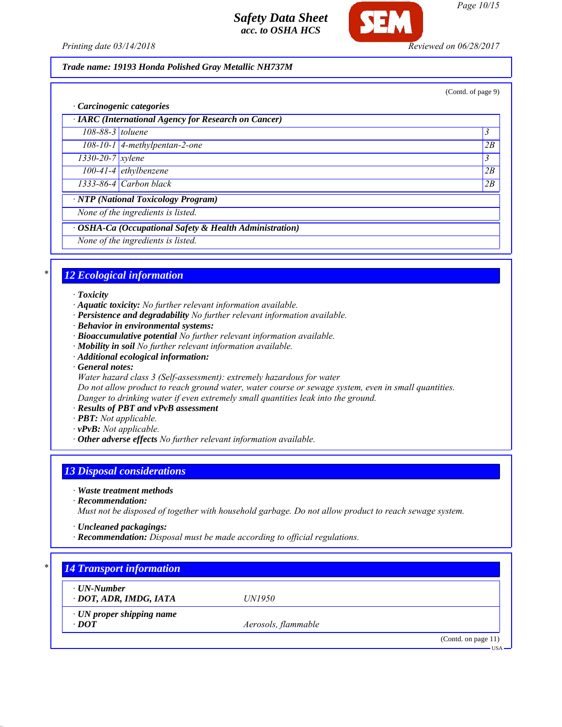

*Page 10/15*

*Printing date 03/14/2018 Reviewed on 06/28/2017*

## *Trade name: 19193 Honda Polished Gray Metallic NH737M*

(Contd. of page 9) *· Carcinogenic categories · IARC (International Agency for Research on Cancer) 108-88-3 toluene 3 108-10-1 4-methylpentan-2-one 2B 1330-20-7 xylene 3 100-41-4 ethylbenzene 2B 1333-86-4 Carbon black 2B · NTP (National Toxicology Program) None of the ingredients is listed. · OSHA-Ca (Occupational Safety & Health Administration) None of the ingredients is listed.*

# *\* 12 Ecological information*

*· Toxicity*

- *· Aquatic toxicity: No further relevant information available.*
- *· Persistence and degradability No further relevant information available.*
- *· Behavior in environmental systems:*
- *· Bioaccumulative potential No further relevant information available.*
- *· Mobility in soil No further relevant information available.*
- *· Additional ecological information:*
- *· General notes:*
- *Water hazard class 3 (Self-assessment): extremely hazardous for water*

*Do not allow product to reach ground water, water course or sewage system, even in small quantities. Danger to drinking water if even extremely small quantities leak into the ground.*

- *· Results of PBT and vPvB assessment*
- *· PBT: Not applicable.*
- *· vPvB: Not applicable.*
- *· Other adverse effects No further relevant information available.*

## *13 Disposal considerations*

*· Waste treatment methods*

*· Recommendation:*

*Must not be disposed of together with household garbage. Do not allow product to reach sewage system.*

- *· Uncleaned packagings:*
- *· Recommendation: Disposal must be made according to official regulations.*

| $\cdot$ UN-Number               |                     |  |
|---------------------------------|---------------------|--|
| · DOT, ADR, IMDG, IATA          | <i>UN1950</i>       |  |
| $\cdot$ UN proper shipping name |                     |  |
| $\cdot$ DOT                     | Aerosols, flammable |  |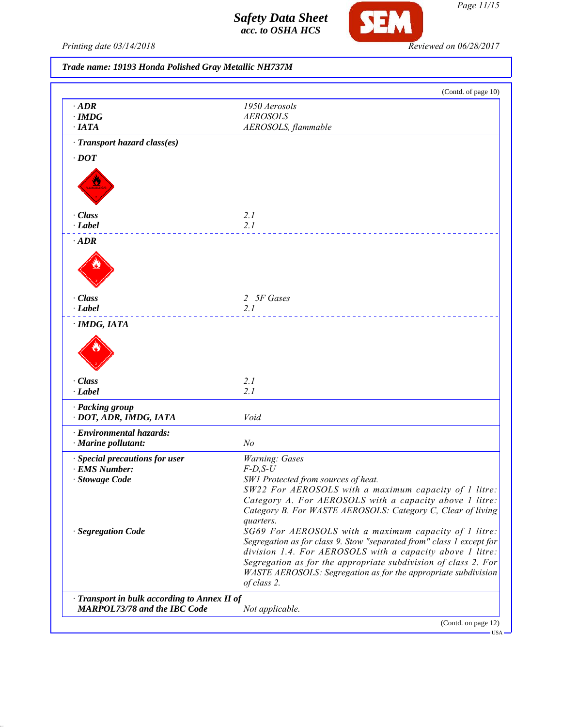

*Page 11/15*

Printing date 03/14/2018 **Reviewed on 06/28/2017** 

| Trade name: 19193 Honda Polished Gray Metallic NH737M |  |  |  |  |  |  |
|-------------------------------------------------------|--|--|--|--|--|--|
|-------------------------------------------------------|--|--|--|--|--|--|

| $\cdot$ ADR<br>$\cdot$ IMDG<br>$\cdot$ IATA<br>· Transport hazard class(es)<br>$\cdot$ DOT<br>· Class<br>· Label<br>$\cdot$ ADR<br>· Class<br>· Label<br>· IMDG, IATA | 1950 Aerosols<br><b>AEROSOLS</b><br>AEROSOLS, flammable<br>2.1<br>2.1<br>2 5F Gases          |
|-----------------------------------------------------------------------------------------------------------------------------------------------------------------------|----------------------------------------------------------------------------------------------|
|                                                                                                                                                                       |                                                                                              |
|                                                                                                                                                                       |                                                                                              |
|                                                                                                                                                                       |                                                                                              |
|                                                                                                                                                                       |                                                                                              |
|                                                                                                                                                                       |                                                                                              |
|                                                                                                                                                                       |                                                                                              |
|                                                                                                                                                                       |                                                                                              |
|                                                                                                                                                                       |                                                                                              |
|                                                                                                                                                                       |                                                                                              |
|                                                                                                                                                                       |                                                                                              |
|                                                                                                                                                                       |                                                                                              |
|                                                                                                                                                                       |                                                                                              |
|                                                                                                                                                                       |                                                                                              |
|                                                                                                                                                                       |                                                                                              |
|                                                                                                                                                                       |                                                                                              |
|                                                                                                                                                                       |                                                                                              |
|                                                                                                                                                                       |                                                                                              |
|                                                                                                                                                                       | 2.1                                                                                          |
|                                                                                                                                                                       |                                                                                              |
|                                                                                                                                                                       |                                                                                              |
|                                                                                                                                                                       |                                                                                              |
|                                                                                                                                                                       |                                                                                              |
|                                                                                                                                                                       |                                                                                              |
| · Class                                                                                                                                                               | 2.1                                                                                          |
| · Label                                                                                                                                                               | 2.1                                                                                          |
| · Packing group                                                                                                                                                       |                                                                                              |
| · DOT, ADR, IMDG, IATA                                                                                                                                                | Void                                                                                         |
|                                                                                                                                                                       |                                                                                              |
| · Environmental hazards:<br>$\cdot$ Marine pollutant:                                                                                                                 | N <sub>o</sub>                                                                               |
|                                                                                                                                                                       |                                                                                              |
| · Special precautions for user                                                                                                                                        | Warning: Gases                                                                               |
| · EMS Number:                                                                                                                                                         | $F-D,S-U$                                                                                    |
| · Stowage Code                                                                                                                                                        | SW1 Protected from sources of heat.<br>SW22 For AEROSOLS with a maximum capacity of 1 litre: |
|                                                                                                                                                                       | Category A. For AEROSOLS with a capacity above 1 litre:                                      |
|                                                                                                                                                                       | Category B. For WASTE AEROSOLS: Category C, Clear of living                                  |
|                                                                                                                                                                       | quarters.                                                                                    |
| · Segregation Code                                                                                                                                                    | SG69 For AEROSOLS with a maximum capacity of 1 litre:                                        |
|                                                                                                                                                                       | Segregation as for class 9. Stow "separated from" class 1 except for                         |
|                                                                                                                                                                       | division 1.4. For AEROSOLS with a capacity above 1 litre:                                    |
|                                                                                                                                                                       | Segregation as for the appropriate subdivision of class 2. For                               |
|                                                                                                                                                                       | WASTE AEROSOLS: Segregation as for the appropriate subdivision                               |
|                                                                                                                                                                       | of class 2.                                                                                  |
| · Transport in bulk according to Annex II of                                                                                                                          |                                                                                              |
| <b>MARPOL73/78 and the IBC Code</b>                                                                                                                                   | Not applicable.                                                                              |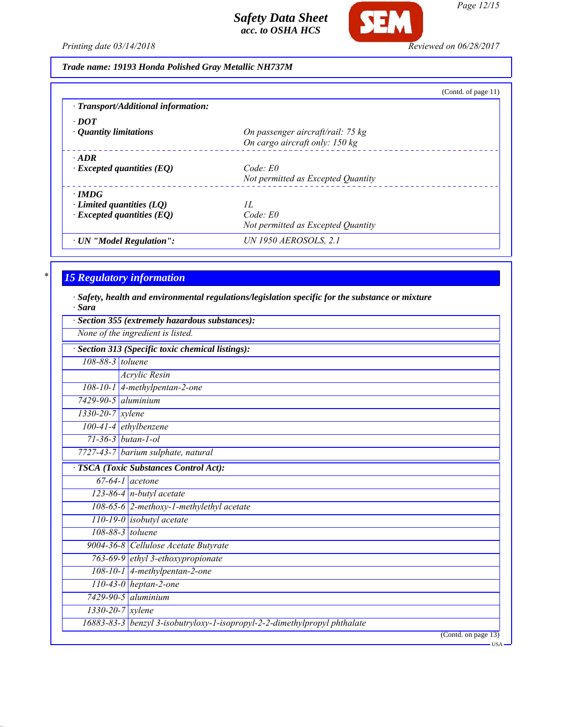

*Page 12/15*

*Printing date 03/14/2018 Reviewed on 06/28/2017*

*Trade name: 19193 Honda Polished Gray Metallic NH737M*

|  | Trade name: 19193 Honda Polished Gray Metallic NH737M |  |
|--|-------------------------------------------------------|--|
|  |                                                       |  |

|                                     | (Contd. of page $11$ )                                              |
|-------------------------------------|---------------------------------------------------------------------|
| · Transport/Additional information: |                                                                     |
| $\cdot$ DOT                         |                                                                     |
| • Quantity limitations              | On passenger aircraft/rail: 75 kg<br>On cargo aircraft only: 150 kg |
| $\cdot$ ADR                         |                                                                     |
| $\cdot$ Excepted quantities (EQ)    | Code: E0                                                            |
|                                     | Not permitted as Excepted Quantity                                  |
| $\cdot$ IMDG                        |                                                                     |
| Limited quantities $(LQ)$           | 11.                                                                 |
| $\cdot$ Excepted quantities (EQ)    | Code: E0                                                            |
|                                     | Not permitted as Excepted Quantity                                  |
| · UN "Model Regulation":            | <b>UN 1950 AEROSOLS, 2.1</b>                                        |

# *\* 15 Regulatory information*

*· Safety, health and environmental regulations/legislation specific for the substance or mixture · Sara*

|                               | Section 355 (extremely hazardous substances):<br>None of the ingredient is listed. |
|-------------------------------|------------------------------------------------------------------------------------|
|                               | Section 313 (Specific toxic chemical listings):                                    |
| 108-88-3 toluene              |                                                                                    |
|                               | <b>Acrylic Resin</b>                                                               |
|                               | 108-10-1 4-methylpentan-2-one                                                      |
| 7429-90-5 aluminium           |                                                                                    |
| $1330 - 20 - 7$ <i>xylene</i> |                                                                                    |
|                               | $100-41-4$ ethylbenzene                                                            |
|                               | $71 - 36 - 3$ butan-1-ol                                                           |
|                               | 7727-43-7 barium sulphate, natural                                                 |
|                               | <b>TSCA</b> (Toxic Substances Control Act):                                        |
|                               | $67-64-1$ acetone                                                                  |
|                               | 123-86-4 $n$ -butyl acetate                                                        |
|                               | 108-65-6 2-methoxy-1-methylethyl acetate                                           |
|                               | $110-19-0$ isobutyl acetate                                                        |
|                               | 108-88-3 toluene                                                                   |
|                               | 9004-36-8 Cellulose Acetate Butyrate                                               |
|                               | 763-69-9 ethyl 3-ethoxypropionate                                                  |
|                               | 108-10-1 4-methylpentan-2-one                                                      |
|                               | $\overline{110-43-0}$ heptan-2-one                                                 |
|                               | $7429 - 90 - 5$ aluminium                                                          |
|                               | $1330 - 20 - 7$ <i>xylene</i>                                                      |
|                               | 16883-83-3 benzyl 3-isobutryloxy-1-isopropyl-2-2-dimethylpropyl phthalate          |
|                               | (Contd. on page 13)<br>– USA                                                       |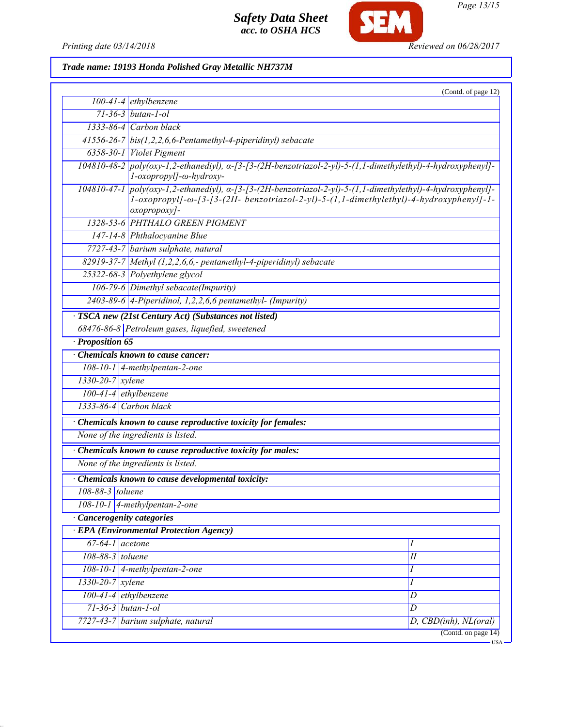

**SEM** 

# *Trade name: 19193 Honda Polished Gray Metallic NH737M*

|                            |                                                                                                                                                                                                                                    | (Contd. of page 12)   |
|----------------------------|------------------------------------------------------------------------------------------------------------------------------------------------------------------------------------------------------------------------------------|-----------------------|
|                            | $100-41-4$ ethylbenzene                                                                                                                                                                                                            |                       |
|                            | $71 - 36 - 3$ butan-1-ol                                                                                                                                                                                                           |                       |
|                            | $1333-86-4$ Carbon black                                                                                                                                                                                                           |                       |
|                            | 41556-26-7 bis(1,2,2,6,6-Pentamethyl-4-piperidinyl) sebacate                                                                                                                                                                       |                       |
|                            | 6358-30-1 Violet Pigment                                                                                                                                                                                                           |                       |
|                            | 104810-48-2 poly(oxy-1,2-ethanediyl), a-[3-[3-(2H-benzotriazol-2-yl)-5-(1,1-dimethylethyl)-4-hydroxyphenyl]-<br>l-oxopropyl]-ω-hydroxy-                                                                                            |                       |
|                            | 104810-47-1 poly(oxy-1,2-ethanediyl), a-[3-[3-(2H-benzotriazol-2-yl)-5-(1,1-dimethylethyl)-4-hydroxyphenyl]-<br>$1$ -oxopropyl]- $\omega$ -[3-[3-(2H- benzotriazol-2-yl)-5-(1,1-dimethylethyl)-4-hydroxyphenyl]-1-<br>oxopropoxy]- |                       |
|                            | 1328-53-6 PHTHALO GREEN PIGMENT                                                                                                                                                                                                    |                       |
|                            | 147-14-8 Phthalocyanine Blue                                                                                                                                                                                                       |                       |
|                            | 7727-43-7 barium sulphate, natural                                                                                                                                                                                                 |                       |
|                            | 82919-37-7 Methyl (1,2,2,6,6,- pentamethyl-4-piperidinyl) sebacate                                                                                                                                                                 |                       |
|                            | 25322-68-3 Polyethylene glycol                                                                                                                                                                                                     |                       |
|                            | 106-79-6 Dimethyl sebacate(Impurity)                                                                                                                                                                                               |                       |
|                            | 2403-89-6 4-Piperidinol, 1,2,2,6,6 pentamethyl- (Impurity)                                                                                                                                                                         |                       |
|                            | TSCA new (21st Century Act) (Substances not listed)                                                                                                                                                                                |                       |
|                            | 68476-86-8 Petroleum gases, liquefied, sweetened                                                                                                                                                                                   |                       |
| Proposition 65             |                                                                                                                                                                                                                                    |                       |
|                            | <b>Chemicals known to cause cancer:</b>                                                                                                                                                                                            |                       |
|                            | $108-10-1$ 4-methylpentan-2-one                                                                                                                                                                                                    |                       |
| 1330-20-7 xylene           |                                                                                                                                                                                                                                    |                       |
| $100-41-4$ ethylbenzene    |                                                                                                                                                                                                                                    |                       |
| 1333-86-4 Carbon black     |                                                                                                                                                                                                                                    |                       |
|                            |                                                                                                                                                                                                                                    |                       |
|                            | Chemicals known to cause reproductive toxicity for females:                                                                                                                                                                        |                       |
|                            | None of the ingredients is listed.                                                                                                                                                                                                 |                       |
|                            | Chemicals known to cause reproductive toxicity for males:                                                                                                                                                                          |                       |
|                            | None of the ingredients is listed.                                                                                                                                                                                                 |                       |
|                            | Chemicals known to cause developmental toxicity:                                                                                                                                                                                   |                       |
| 108-88-3 toluene           |                                                                                                                                                                                                                                    |                       |
|                            | 108-10-1 4-methylpentan-2-one                                                                                                                                                                                                      |                       |
| · Cancerogenity categories |                                                                                                                                                                                                                                    |                       |
|                            | <b>EPA</b> (Environmental Protection Agency)                                                                                                                                                                                       |                       |
| $67-64-1$ acetone          |                                                                                                                                                                                                                                    | 1                     |
| 108-88-3 toluene           |                                                                                                                                                                                                                                    | $\overline{H}$        |
|                            | $108-10-1$ 4-methylpentan-2-one                                                                                                                                                                                                    | I                     |
| 1330-20-7 xylene           |                                                                                                                                                                                                                                    | Ι                     |
| 100-41-4 ethylbenzene      |                                                                                                                                                                                                                                    | D                     |
| $71 - 36 - 3$ butan-1-ol   |                                                                                                                                                                                                                                    | D                     |
|                            | 7727-43-7 barium sulphate, natural                                                                                                                                                                                                 | D, CBD(inh), NL(oral) |
|                            |                                                                                                                                                                                                                                    | (Contd. on page 14)   |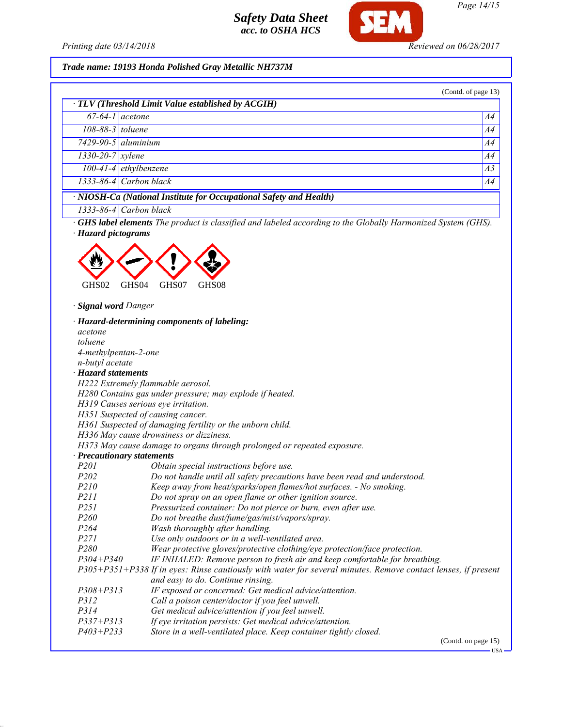

**SEM** 

*Page 14/15*

# *Trade name: 19193 Honda Polished Gray Metallic NH737M*

|                        | $\overline{67}$ -64-1 acetone                                      | A4             |
|------------------------|--------------------------------------------------------------------|----------------|
| $108-88-3$ toluene     |                                                                    | A4             |
|                        | $7429 - 90 - 5$ aluminium                                          | A4             |
| $1330 - 20 - 7$ xylene |                                                                    | A4             |
|                        | $100-41-4$ ethylbenzene                                            | A <sub>3</sub> |
|                        | $1333-86-4$ Carbon black                                           | A4             |
|                        | · NIOSH-Ca (National Institute for Occupational Safety and Health) |                |
|                        | $1333-86-4$ Carbon black                                           |                |



*· Signal word Danger*

|                                                                                                               | · Hazard-determining components of labeling:                               |  |  |  |
|---------------------------------------------------------------------------------------------------------------|----------------------------------------------------------------------------|--|--|--|
| acetone                                                                                                       |                                                                            |  |  |  |
| toluene                                                                                                       |                                                                            |  |  |  |
| 4-methylpentan-2-one                                                                                          |                                                                            |  |  |  |
| <i>n-butyl</i> acetate                                                                                        |                                                                            |  |  |  |
| $\cdot$ Hazard statements                                                                                     |                                                                            |  |  |  |
|                                                                                                               | H222 Extremely flammable aerosol.                                          |  |  |  |
|                                                                                                               | H280 Contains gas under pressure; may explode if heated.                   |  |  |  |
|                                                                                                               | H319 Causes serious eye irritation.                                        |  |  |  |
|                                                                                                               | H351 Suspected of causing cancer.                                          |  |  |  |
|                                                                                                               | H361 Suspected of damaging fertility or the unborn child.                  |  |  |  |
|                                                                                                               | H336 May cause drowsiness or dizziness.                                    |  |  |  |
|                                                                                                               | H373 May cause damage to organs through prolonged or repeated exposure.    |  |  |  |
| · Precautionary statements                                                                                    |                                                                            |  |  |  |
| <i>P201</i>                                                                                                   | Obtain special instructions before use.                                    |  |  |  |
| P <sub>202</sub>                                                                                              | Do not handle until all safety precautions have been read and understood.  |  |  |  |
| P210                                                                                                          | Keep away from heat/sparks/open flames/hot surfaces. - No smoking.         |  |  |  |
| <i>P211</i>                                                                                                   | Do not spray on an open flame or other ignition source.                    |  |  |  |
| P251                                                                                                          | Pressurized container: Do not pierce or burn, even after use.              |  |  |  |
| P260                                                                                                          | Do not breathe dust/fume/gas/mist/vapors/spray.                            |  |  |  |
| P264                                                                                                          | Wash thoroughly after handling.                                            |  |  |  |
| <i>P271</i>                                                                                                   | Use only outdoors or in a well-ventilated area.                            |  |  |  |
| P <sub>280</sub>                                                                                              | Wear protective gloves/protective clothing/eye protection/face protection. |  |  |  |
| $P304 + P340$                                                                                                 | IF INHALED: Remove person to fresh air and keep comfortable for breathing. |  |  |  |
| P305+P351+P338 If in eyes: Rinse cautiously with water for several minutes. Remove contact lenses, if present |                                                                            |  |  |  |
|                                                                                                               | and easy to do. Continue rinsing.                                          |  |  |  |
| $P308 + P313$                                                                                                 | IF exposed or concerned: Get medical advice/attention.                     |  |  |  |
| <i>P312</i>                                                                                                   | Call a poison center/doctor if you feel unwell.                            |  |  |  |
| P314                                                                                                          | Get medical advice/attention if you feel unwell.                           |  |  |  |
| $P337 + P313$                                                                                                 | If eye irritation persists: Get medical advice/attention.                  |  |  |  |
| $P403 + P233$                                                                                                 | Store in a well-ventilated place. Keep container tightly closed.           |  |  |  |

(Contd. on page 15)

 $-<sub>USA</sub>$